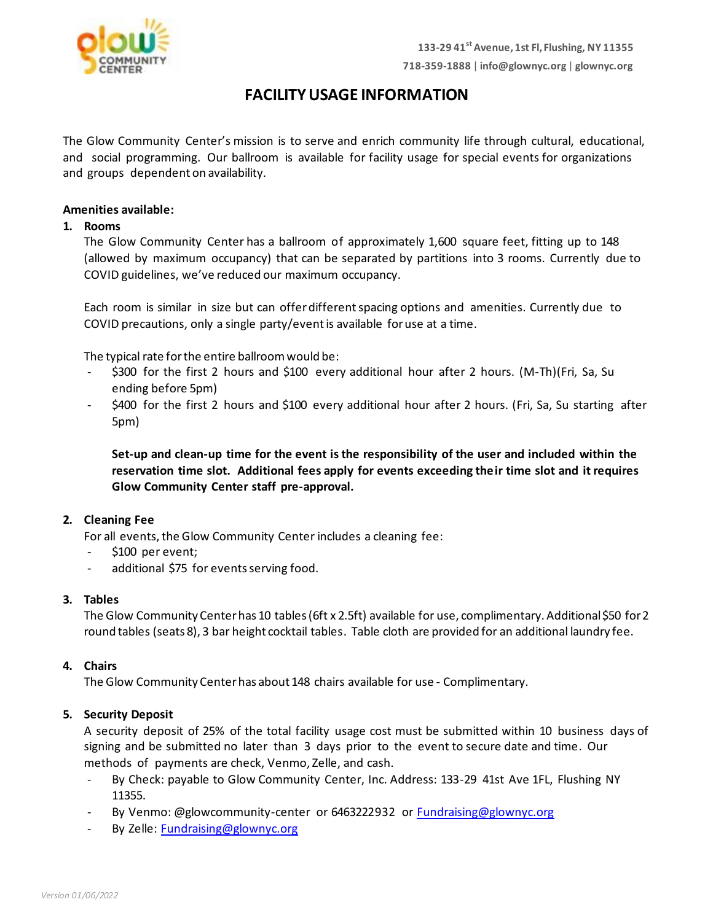

# **FACILITYUSAGE INFORMATION**

The Glow Community Center's mission is to serve and enrich community life through cultural, educational, and social programming. Our ballroom is available for facility usage for special events for organizations and groups dependent on availability.

### **Amenities available:**

### **1. Rooms**

The Glow Community Center has a ballroom of approximately 1,600 square feet, fitting up to 148 (allowed by maximum occupancy) that can be separated by partitions into 3 rooms. Currently due to COVID guidelines, we've reduced our maximum occupancy.

Each room is similar in size but can offer differentspacing options and amenities. Currently due to COVID precautions, only a single party/eventis available foruse at a time.

The typical rate for the entire ballroom would be:

- \$300 for the first 2 hours and \$100 every additional hour after 2 hours. (M-Th)(Fri, Sa, Su ending before 5pm)
- \$400 for the first 2 hours and \$100 every additional hour after 2 hours. (Fri, Sa, Su starting after 5pm)

**Set-up and clean-up time for the event is the responsibility of the user and included within the reservation time slot. Additional fees apply for events exceeding their time slot and it requires Glow Community Center staff pre-approval.**

### **2. Cleaning Fee**

For all events, the Glow Community Center includes a cleaning fee:

- \$100 per event;
- additional \$75 for events serving food.

#### **3. Tables**

The Glow Community Center has 10 tables (6ft x 2.5ft) available for use, complimentary. Additional \$50 for 2 round tables (seats 8), 3 bar height cocktail tables. Table cloth are provided for an additional laundry fee.

#### **4. Chairs**

The Glow Community Center has about 148 chairs available for use - Complimentary.

### **5. Security Deposit**

A security deposit of 25% of the total facility usage cost must be submitted within 10 business days of signing and be submitted no later than 3 days prior to the event to secure date and time. Our methods of payments are check, Venmo, Zelle, and cash.

- By Check: payable to Glow Community Center, Inc. Address: 133-29 41st Ave 1FL, Flushing NY 11355.
- By Venmo: @glowcommunity-center or 6463222932 o[r Fundraising@glownyc.org](mailto:Fundraising@glownyc.org)
- By Zelle: [Fundraising@glownyc.org](mailto:Fundraising@glownyc.org)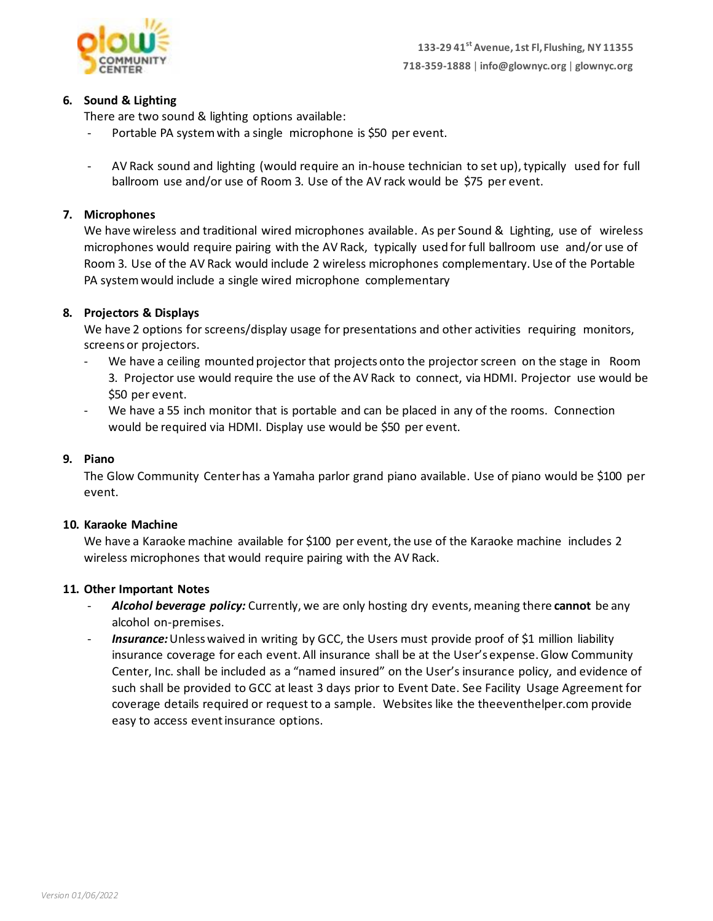

# **6. Sound & Lighting**

There are two sound & lighting options available:

- Portable PA system with a single microphone is \$50 per event.
- AV Rack sound and lighting (would require an in-house technician to set up), typically used for full ballroom use and/or use of Room 3. Use of the AV rack would be \$75 per event.

# **7. Microphones**

We have wireless and traditional wired microphones available. As per Sound & Lighting, use of wireless microphones would require pairing with the AV Rack, typically used for full ballroom use and/or use of Room 3. Use of the AV Rack would include 2 wireless microphones complementary. Use of the Portable PA system would include a single wired microphone complementary

# **8. Projectors & Displays**

We have 2 options for screens/display usage for presentations and other activities requiring monitors, screens or projectors.

- We have a ceiling mounted projector that projects onto the projector screen on the stage in Room 3. Projector use would require the use of the AV Rack to connect, via HDMI. Projector use would be \$50 per event.
- We have a 55 inch monitor that is portable and can be placed in any of the rooms. Connection would be required via HDMI. Display use would be \$50 per event.

### **9. Piano**

The Glow Community Center has a Yamaha parlor grand piano available. Use of piano would be \$100 per event.

### **10. Karaoke Machine**

We have a Karaoke machine available for \$100 per event, the use of the Karaoke machine includes 2 wireless microphones that would require pairing with the AV Rack.

### **11. Other Important Notes**

- *Alcohol beverage policy:* Currently, we are only hosting dry events, meaning there **cannot** be any alcohol on-premises.
- *Insurance:* Unless waived in writing by GCC, the Users must provide proof of \$1 million liability insurance coverage for each event. All insurance shall be at the User's expense. Glow Community Center, Inc. shall be included as a "named insured" on the User's insurance policy, and evidence of such shall be provided to GCC at least 3 days prior to Event Date. See Facility Usage Agreement for coverage details required or request to a sample. Websites like the theeventhelper.com provide easy to access event insurance options.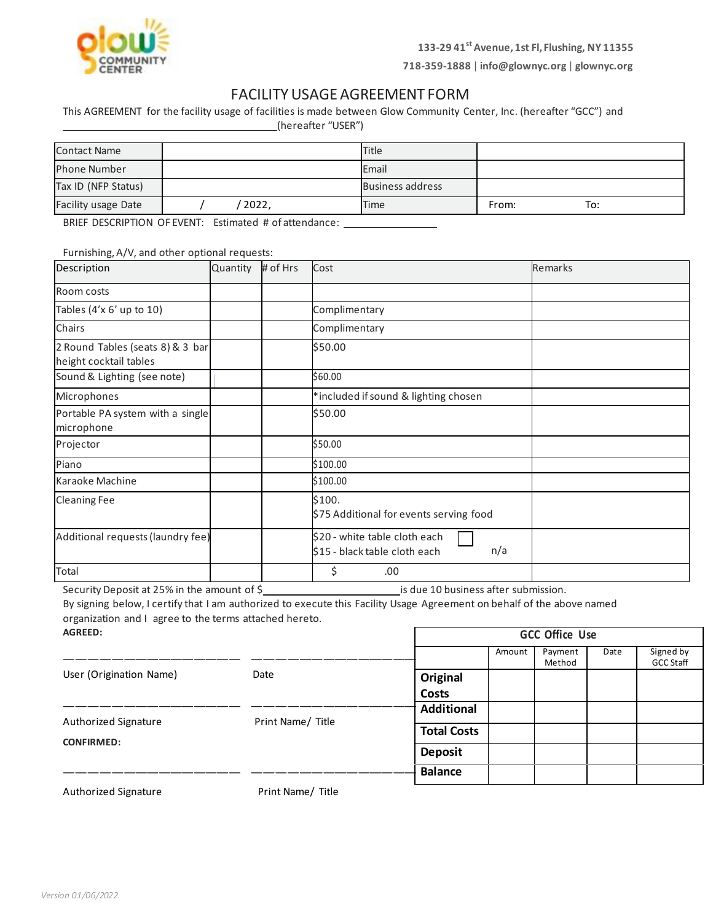

**718-359-1888** | **[info@glownyc.org](mailto:info@glownyc.org)** | **glownyc.org**

# FACILITY USAGE AGREEMENT FORM

This AGREEMENT for the facility usage of facilities is made between Glow Community Center, Inc. (hereafter "GCC") and (hereafter "USER")

| <b>Contact Name</b> |       | <b>Title</b>            |       |     |
|---------------------|-------|-------------------------|-------|-----|
| <b>Phone Number</b> |       | Email                   |       |     |
| Tax ID (NFP Status) |       | <b>Business address</b> |       |     |
| Facility usage Date | 2022, | Time                    | From: | To: |

BRIEF DESCRIPTION OF EVENT: Estimated # of attendance: \_\_\_\_\_\_\_\_\_\_\_\_\_\_\_\_\_\_\_\_\_\_\_\_\_

Furnishing, A/V, and other optional requests:

| Description                                                | Quantity | # of Hrs | Cost                                                                  | <b>Remarks</b> |
|------------------------------------------------------------|----------|----------|-----------------------------------------------------------------------|----------------|
| Room costs                                                 |          |          |                                                                       |                |
| Tables (4'x 6' up to 10)                                   |          |          | Complimentary                                                         |                |
| Chairs                                                     |          |          | Complimentary                                                         |                |
| 2 Round Tables (seats 8) & 3 bar<br>height cocktail tables |          |          | \$50.00                                                               |                |
| Sound & Lighting (see note)                                |          |          | \$60.00                                                               |                |
| Microphones                                                |          |          | *included if sound & lighting chosen                                  |                |
| Portable PA system with a single<br>microphone             |          |          | \$50.00                                                               |                |
| Projector                                                  |          |          | \$50.00                                                               |                |
| Piano                                                      |          |          | \$100.00                                                              |                |
| Karaoke Machine                                            |          |          | \$100.00                                                              |                |
| <b>Cleaning Fee</b>                                        |          |          | \$100.<br>\$75 Additional for events serving food                     |                |
| Additional requests (laundry fee)                          |          |          | \$20 - white table cloth each<br>n/a<br>\$15 - black table cloth each |                |
| Total                                                      |          |          | \$<br>.00                                                             |                |

Security Deposit at 25% in the amount of \$ is due 10 business after submission.

By signing below, I certify that I am authorized to execute this Facility Usage Agreement on behalf of the above named organization and I agree to the terms attached hereto.

| <b>AGREED:</b>                                                              | <b>GCC Office Use</b>                     |                    |        |                   |      |                               |
|-----------------------------------------------------------------------------|-------------------------------------------|--------------------|--------|-------------------|------|-------------------------------|
|                                                                             |                                           |                    | Amount | Payment<br>Method | Date | Signed by<br><b>GCC Staff</b> |
| User (Origination Name)                                                     | Date                                      | Original           |        |                   |      |                               |
|                                                                             |                                           | <b>Costs</b>       |        |                   |      |                               |
|                                                                             |                                           | <b>Additional</b>  |        |                   |      |                               |
| Authorized Signature<br><b>CONFIRMED:</b>                                   | Print Name/ Title                         | <b>Total Costs</b> |        |                   |      |                               |
|                                                                             |                                           | <b>Deposit</b>     |        |                   |      |                               |
|                                                                             |                                           | <b>Balance</b>     |        |                   |      |                               |
| A shall contract of $\mathcal{O}(t)$ and called the set of $\mathcal{O}(t)$ | $P_{\text{total}}$ and $P_{\text{total}}$ |                    |        |                   |      |                               |

Authorized Signature **Print Name/ Title**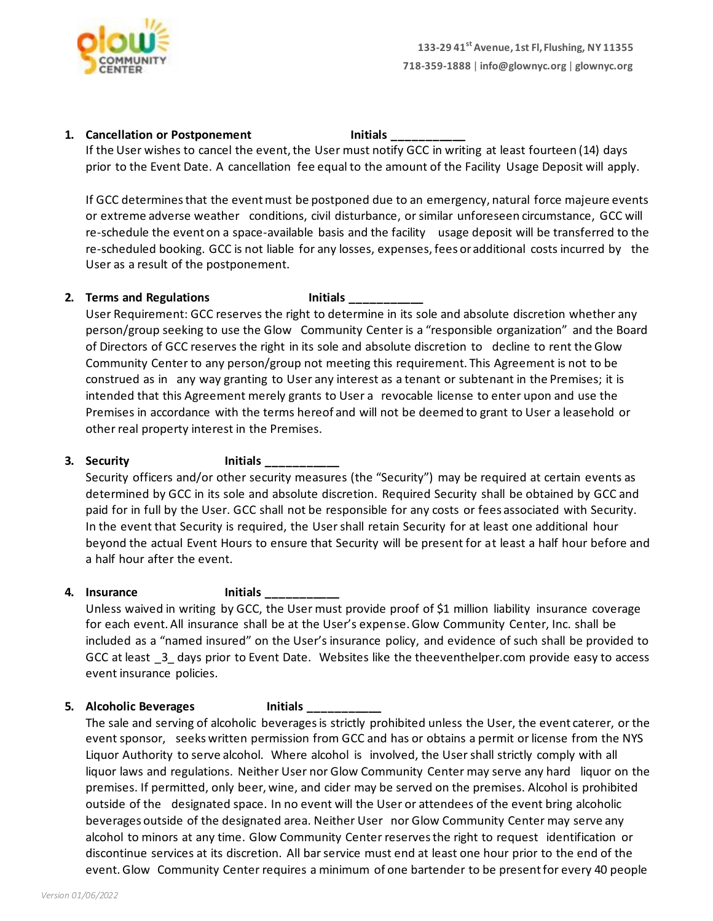

### **1. Cancellation or Postponement Initials Limitials**

If the User wishes to cancel the event, the User must notify GCC in writing at least fourteen (14) days prior to the Event Date. A cancellation fee equal to the amount of the Facility Usage Deposit will apply.

If GCC determines that the event must be postponed due to an emergency, natural force majeure events or extreme adverse weather conditions, civil disturbance, orsimilar unforeseen circumstance, GCC will re-schedule the event on a space-available basis and the facility usage deposit will be transferred to the re-scheduled booking. GCC is not liable for any losses, expenses, fees oradditional costs incurred by the User as a result of the postponement.

### **2. Terms and Regulations Initials \_\_\_\_\_\_\_\_\_\_\_**

User Requirement: GCC reserves the right to determine in its sole and absolute discretion whether any person/group seeking to use the Glow Community Center is a "responsible organization" and the Board of Directors of GCC reserves the right in its sole and absolute discretion to decline to rent the Glow Community Center to any person/group not meeting this requirement. This Agreement is not to be construed as in any way granting to User any interest as a tenant or subtenant in the Premises; it is intended that this Agreement merely grants to User a revocable license to enter upon and use the Premises in accordance with the terms hereof and will not be deemed to grant to User a leasehold or other real property interest in the Premises.

# **3. Security Initials \_\_\_\_\_\_\_\_\_\_\_**

Security officers and/or other security measures (the "Security") may be required at certain events as determined by GCC in its sole and absolute discretion. Required Security shall be obtained by GCC and paid for in full by the User. GCC shall not be responsible for any costs or fees associated with Security. In the event that Security is required, the User shall retain Security for at least one additional hour beyond the actual Event Hours to ensure that Security will be present for at least a half hour before and a half hour after the event.

# **4. Insurance Initials \_\_\_\_\_\_\_\_\_\_\_**

Unless waived in writing by GCC, the User must provide proof of \$1 million liability insurance coverage for each event. All insurance shall be at the User's expense. Glow Community Center, Inc. shall be included as a "named insured" on the User's insurance policy, and evidence of such shall be provided to GCC at least \_3\_ days prior to Event Date. Websites like the theeventhelper.com provide easy to access event insurance policies.

# **5. Alcoholic Beverages Initials \_\_\_\_\_\_\_\_\_\_\_**

The sale and serving of alcoholic beverages is strictly prohibited unless the User, the event caterer, or the event sponsor, seeks written permission from GCC and has or obtains a permit or license from the NYS Liquor Authority to serve alcohol. Where alcohol is involved, the Usershall strictly comply with all liquor laws and regulations. Neither User nor Glow Community Center may serve any hard liquor on the premises. If permitted, only beer, wine, and cider may be served on the premises. Alcohol is prohibited outside of the designated space. In no event will the User or attendees of the event bring alcoholic beverages outside of the designated area. Neither User nor Glow Community Center may serve any alcohol to minors at any time. Glow Community Center reservesthe right to request identification or discontinue services at its discretion. All barservice must end at least one hour prior to the end of the event.Glow Community Center requires a minimum of one bartender to be presentfor every 40 people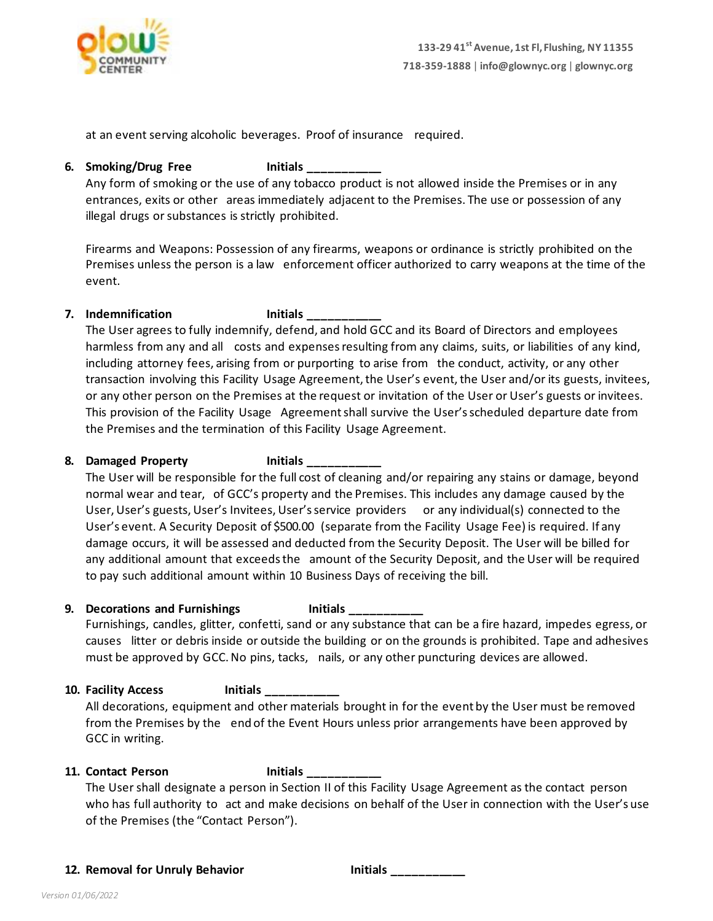

at an event serving alcoholic beverages. Proof of insurance required.

### **6. Smoking/Drug Free Initials \_\_\_\_\_\_\_\_\_\_\_**

Any form of smoking or the use of any tobacco product is not allowed inside the Premises or in any entrances, exits or other areas immediately adjacent to the Premises. The use or possession of any illegal drugs or substances is strictly prohibited.

Firearms and Weapons: Possession of any firearms, weapons or ordinance is strictly prohibited on the Premises unless the person is a law enforcement officer authorized to carry weapons at the time of the event.

# **7. Indemnification Initials \_\_\_\_\_\_\_\_\_\_\_**

The User agrees to fully indemnify, defend, and hold GCC and its Board of Directors and employees harmless from any and all costs and expenses resulting from any claims, suits, or liabilities of any kind, including attorney fees, arising from or purporting to arise from the conduct, activity, or any other transaction involving this Facility Usage Agreement, the User's event, the User and/or its guests, invitees, or any other person on the Premises at the request or invitation of the User or User's guests or invitees. This provision of the Facility Usage Agreementshall survive the User'sscheduled departure date from the Premises and the termination of this Facility Usage Agreement.

# **8. Damaged Property Initials \_\_\_\_\_\_\_\_\_\_\_**

The User will be responsible for the full cost of cleaning and/or repairing any stains or damage, beyond normal wear and tear, of GCC's property and the Premises. This includes any damage caused by the User, User's guests, User's Invitees, User's service providers or any individual(s) connected to the User's event. A Security Deposit of \$500.00 (separate from the Facility Usage Fee) is required. If any damage occurs, it will be assessed and deducted from the Security Deposit. The User will be billed for any additional amount that exceedsthe amount of the Security Deposit, and the User will be required to pay such additional amount within 10 Business Days of receiving the bill.

# **9. Decorations and Furnishings Initials \_\_\_\_\_\_\_\_\_\_\_**

Furnishings, candles, glitter, confetti, sand or any substance that can be a fire hazard, impedes egress, or causes litter or debris inside or outside the building or on the grounds is prohibited. Tape and adhesives must be approved by GCC.No pins, tacks, nails, or any other puncturing devices are allowed.

# **10. Facility Access Initials \_\_\_\_\_\_\_\_\_\_\_**

All decorations, equipment and other materials brought in for the event by the User must be removed from the Premises by the end of the Event Hours unless prior arrangements have been approved by GCC in writing.

# **11. Contact Person Initials \_\_\_\_\_\_\_\_\_\_\_**

The Usershall designate a person in Section II of this Facility Usage Agreement as the contact person who has full authority to act and make decisions on behalf of the User in connection with the User's use of the Premises (the "Contact Person").

**12. Removal for Unruly Behavior Initials \_\_\_\_\_\_\_\_\_\_\_**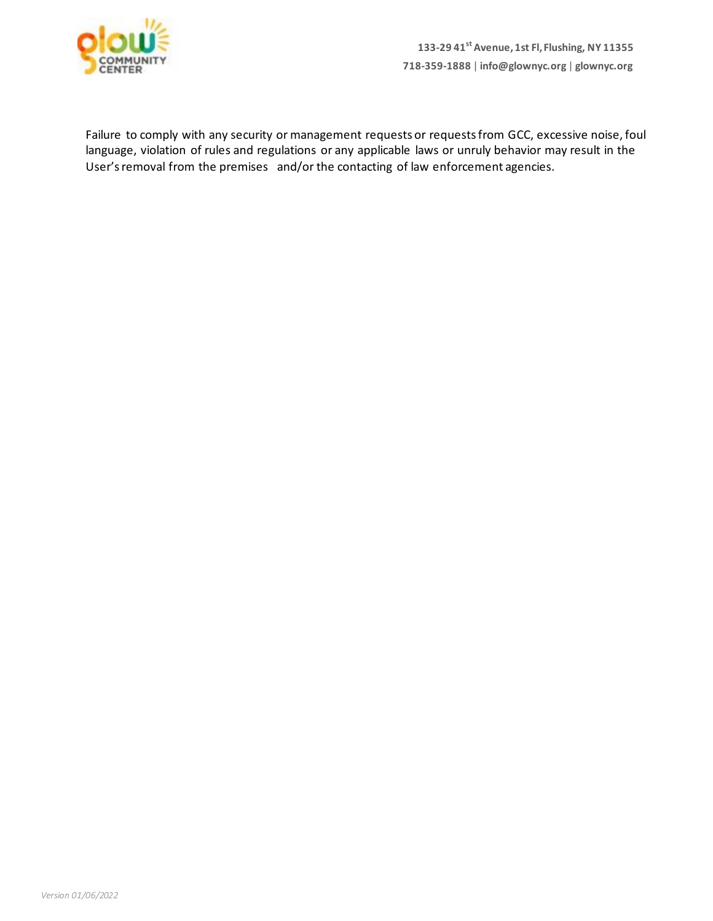

Failure to comply with any security or management requests or requestsfrom GCC, excessive noise, foul language, violation of rules and regulations or any applicable laws or unruly behavior may result in the User's removal from the premises and/or the contacting of law enforcement agencies.